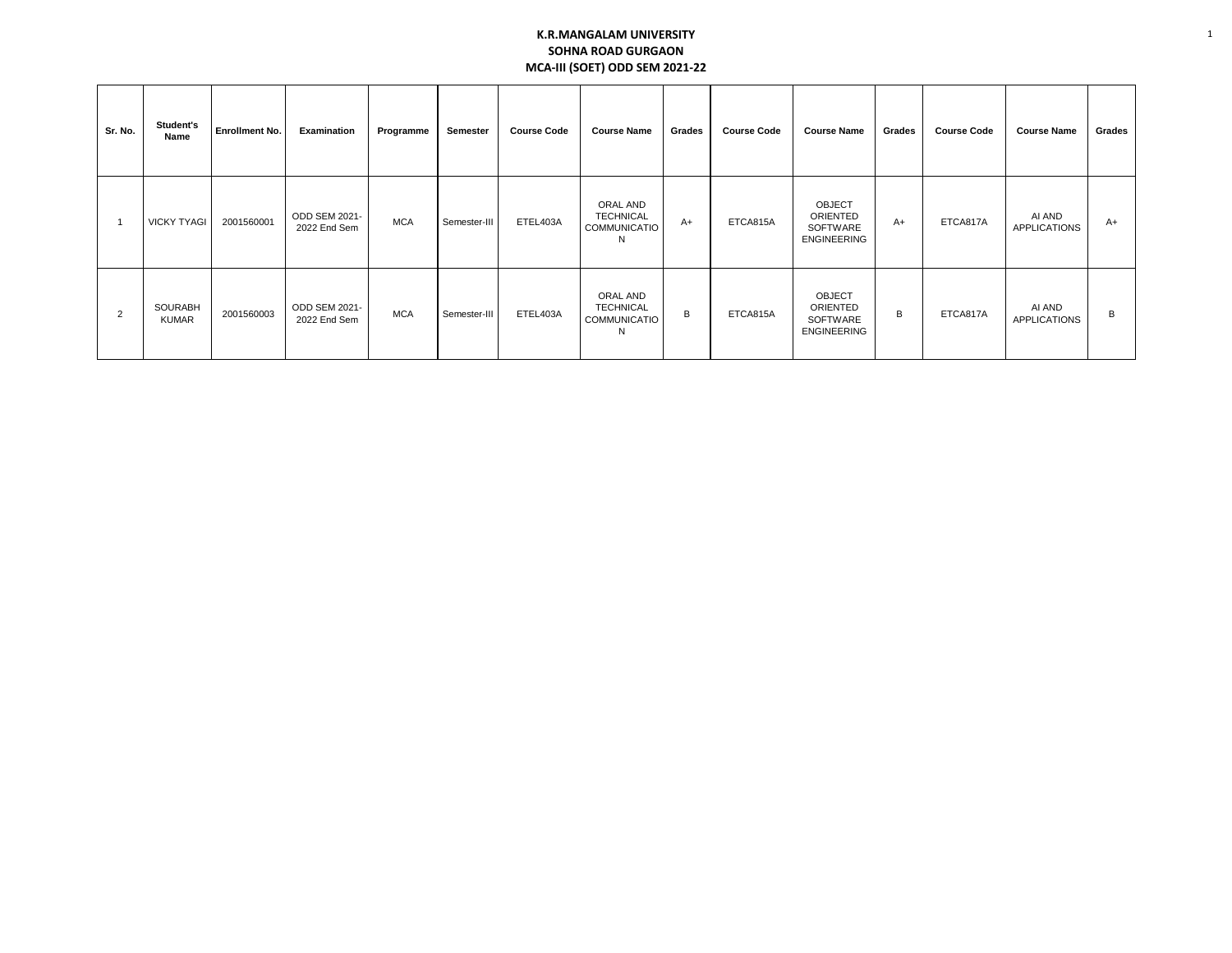## **K.R.MANGALAM UNIVERSITY SOHNA ROAD GURGAON MCA-III (SOET) ODD SEM 2021-22**

1

| Sr. No. | Student's<br>Name              | <b>Enrollment No.</b> | Examination                   | Programme  | Semester     | <b>Course Code</b> | <b>Course Name</b>                                       | Grades | <b>Course Code</b> | <b>Course Name</b>                                          | Grades | <b>Course Code</b> | <b>Course Name</b>            | Grades |
|---------|--------------------------------|-----------------------|-------------------------------|------------|--------------|--------------------|----------------------------------------------------------|--------|--------------------|-------------------------------------------------------------|--------|--------------------|-------------------------------|--------|
|         | <b>VICKY TYAGI</b>             | 2001560001            | ODD SEM 2021-<br>2022 End Sem | <b>MCA</b> | Semester-III | ETEL403A           | ORAL AND<br><b>TECHNICAL</b><br>COMMUNICATIO<br>N        | $A+$   | ETCA815A           | <b>OBJECT</b><br>ORIENTED<br>SOFTWARE<br><b>ENGINEERING</b> | A+     | ETCA817A           | AI AND<br><b>APPLICATIONS</b> | $A+$   |
| 2       | <b>SOURABH</b><br><b>KUMAR</b> | 2001560003            | ODD SEM 2021-<br>2022 End Sem | <b>MCA</b> | Semester-III | ETEL403A           | ORAL AND<br><b>TECHNICAL</b><br><b>COMMUNICATIO</b><br>N | B      | ETCA815A           | <b>OBJECT</b><br>ORIENTED<br>SOFTWARE<br><b>ENGINEERING</b> | B      | ETCA817A           | AI AND<br><b>APPLICATIONS</b> | B      |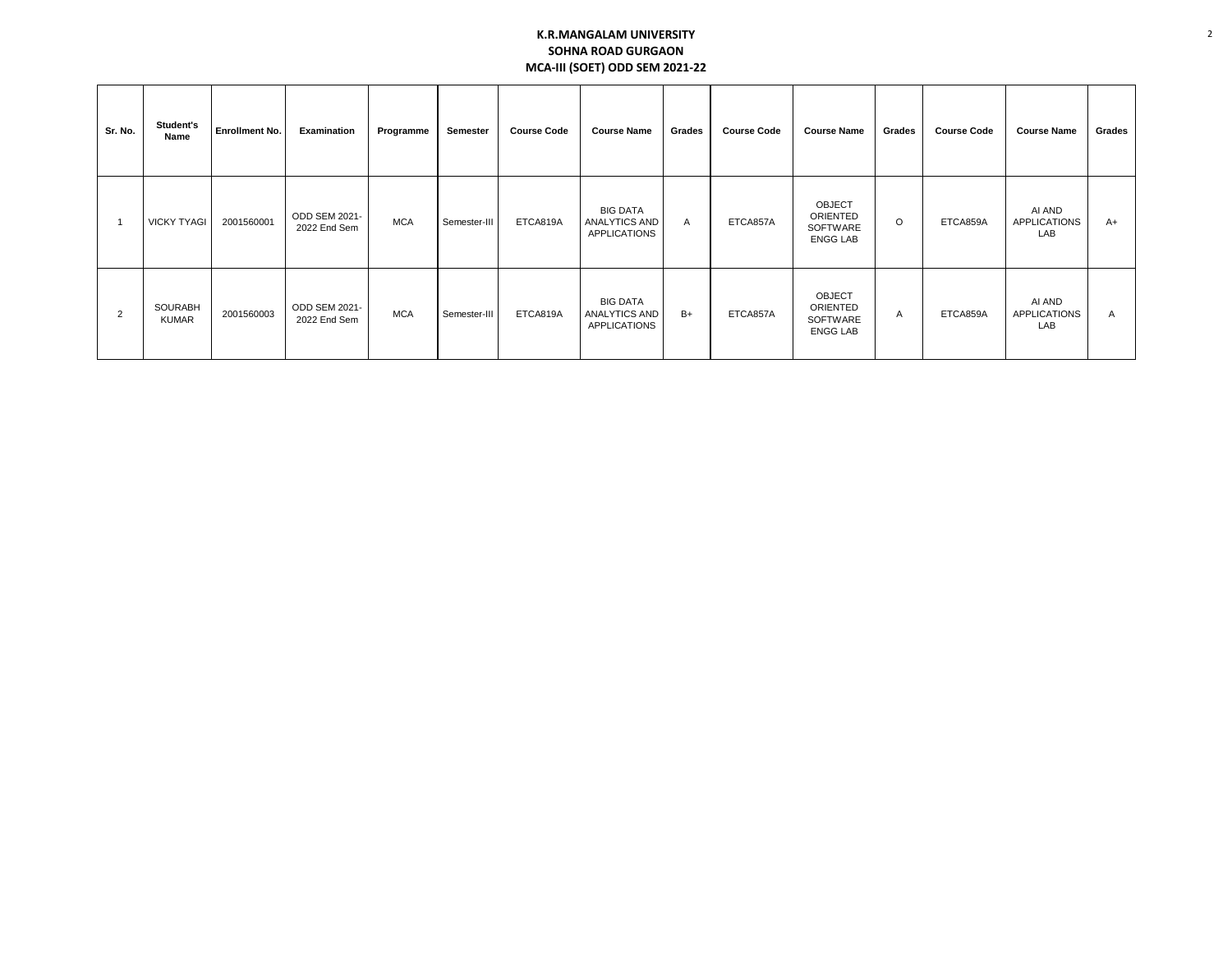## **K.R.MANGALAM UNIVERSITY SOHNA ROAD GURGAON MCA-III (SOET) ODD SEM 2021-22**

| Sr. No.        | Student's<br>Name              | Enrollment No. | Examination                   | Programme  | Semester     | <b>Course Code</b> | <b>Course Name</b>                                             | Grades | <b>Course Code</b> | <b>Course Name</b>                                       | Grades         | <b>Course Code</b> | <b>Course Name</b>                   | Grades |
|----------------|--------------------------------|----------------|-------------------------------|------------|--------------|--------------------|----------------------------------------------------------------|--------|--------------------|----------------------------------------------------------|----------------|--------------------|--------------------------------------|--------|
|                | <b>VICKY TYAGI</b>             | 2001560001     | ODD SEM 2021-<br>2022 End Sem | <b>MCA</b> | Semester-III | ETCA819A           | <b>BIG DATA</b><br>ANALYTICS AND<br><b>APPLICATIONS</b>        | Α      | ETCA857A           | <b>OBJECT</b><br>ORIENTED<br>SOFTWARE<br><b>ENGG LAB</b> | O              | ETCA859A           | AI AND<br><b>APPLICATIONS</b><br>LAB | A+     |
| $\overline{2}$ | <b>SOURABH</b><br><b>KUMAR</b> | 2001560003     | ODD SEM 2021-<br>2022 End Sem | <b>MCA</b> | Semester-III | ETCA819A           | <b>BIG DATA</b><br><b>ANALYTICS AND</b><br><b>APPLICATIONS</b> | $B+$   | ETCA857A           | <b>OBJECT</b><br>ORIENTED<br>SOFTWARE<br><b>ENGG LAB</b> | $\overline{A}$ | ETCA859A           | AI AND<br><b>APPLICATIONS</b><br>LAB | A      |